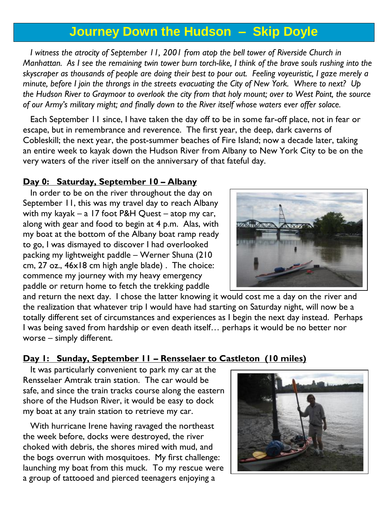# **Journey Down the Hudson – Skip Doyle**

*I* witness the atrocity of September *II*, 200*I* from atop the bell tower of Riverside Church in *Manhattan. As I see the remaining twin tower burn torch-like, I think of the brave souls rushing into the skyscraper as thousands of people are doing their best to pour out. Feeling voyeuristic, I gaze merely a minute, before I join the throngs in the streets evacuating the City of New York. Where to next? Up the Hudson River to Graymoor to overlook the city from that holy mount; over to West Point, the source of our Army's military might; and finally down to the River itself whose waters ever offer solace.*

 Each September 11 since, I have taken the day off to be in some far-off place, not in fear or escape, but in remembrance and reverence. The first year, the deep, dark caverns of Cobleskill; the next year, the post-summer beaches of Fire Island; now a decade later, taking an entire week to kayak down the Hudson River from Albany to New York City to be on the very waters of the river itself on the anniversary of that fateful day.

#### **Day 0: Saturday, September 10 – Albany**

 In order to be on the river throughout the day on September 11, this was my travel day to reach Albany with my kayak – a 17 foot P&H Quest – atop my car, along with gear and food to begin at 4 p.m. Alas, with my boat at the bottom of the Albany boat ramp ready to go, I was dismayed to discover I had overlooked packing my lightweight paddle – Werner Shuna (210 cm, 27 oz., 46x18 cm high angle blade) . The choice: commence my journey with my heavy emergency paddle or return home to fetch the trekking paddle



and return the next day. I chose the latter knowing it would cost me a day on the river and the realization that whatever trip I would have had starting on Saturday night, will now be a totally different set of circumstances and experiences as I begin the next day instead. Perhaps I was being saved from hardship or even death itself… perhaps it would be no better nor worse – simply different.

## **Day 1: Sunday, September 11 – Rensselaer to Castleton (10 miles)**

 It was particularly convenient to park my car at the Rensselaer Amtrak train station. The car would be safe, and since the train tracks course along the eastern shore of the Hudson River, it would be easy to dock my boat at any train station to retrieve my car.

 With hurricane Irene having ravaged the northeast the week before, docks were destroyed, the river choked with debris, the shores mired with mud, and the bogs overrun with mosquitoes. My first challenge: launching my boat from this muck. To my rescue were a group of tattooed and pierced teenagers enjoying a

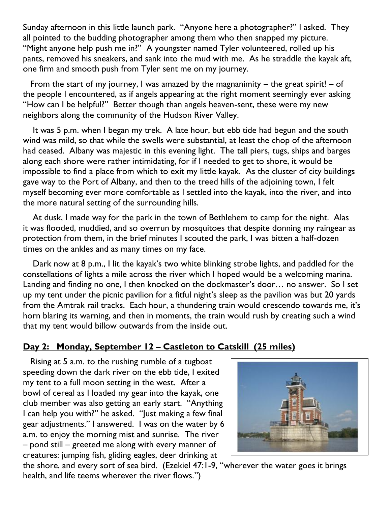Sunday afternoon in this little launch park. "Anyone here a photographer?" I asked. They all pointed to the budding photographer among them who then snapped my picture. "Might anyone help push me in?" A youngster named Tyler volunteered, rolled up his pants, removed his sneakers, and sank into the mud with me. As he straddle the kayak aft, one firm and smooth push from Tyler sent me on my journey.

From the start of my journey, I was amazed by the magnanimity  $-$  the great spirit!  $-$  of the people I encountered, as if angels appearing at the right moment seemingly ever asking "How can I be helpful?" Better though than angels heaven-sent, these were my new neighbors along the community of the Hudson River Valley.

 It was 5 p.m. when I began my trek. A late hour, but ebb tide had begun and the south wind was mild, so that while the swells were substantial, at least the chop of the afternoon had ceased. Albany was majestic in this evening light. The tall piers, tugs, ships and barges along each shore were rather intimidating, for if I needed to get to shore, it would be impossible to find a place from which to exit my little kayak. As the cluster of city buildings gave way to the Port of Albany, and then to the treed hills of the adjoining town, I felt myself becoming ever more comfortable as I settled into the kayak, into the river, and into the more natural setting of the surrounding hills.

 At dusk, I made way for the park in the town of Bethlehem to camp for the night. Alas it was flooded, muddied, and so overrun by mosquitoes that despite donning my raingear as protection from them, in the brief minutes I scouted the park, I was bitten a half-dozen times on the ankles and as many times on my face.

 Dark now at 8 p.m., I lit the kayak's two white blinking strobe lights, and paddled for the constellations of lights a mile across the river which I hoped would be a welcoming marina. Landing and finding no one, I then knocked on the dockmaster's door… no answer. So I set up my tent under the picnic pavilion for a fitful night's sleep as the pavilion was but 20 yards from the Amtrak rail tracks. Each hour, a thundering train would crescendo towards me, it's horn blaring its warning, and then in moments, the train would rush by creating such a wind that my tent would billow outwards from the inside out.

## **Day 2: Monday, September 12 – Castleton to Catskill (25 miles)**

 Rising at 5 a.m. to the rushing rumble of a tugboat speeding down the dark river on the ebb tide, I exited my tent to a full moon setting in the west. After a bowl of cereal as I loaded my gear into the kayak, one club member was also getting an early start. "Anything I can help you with?" he asked. "Just making a few final gear adjustments." I answered. I was on the water by 6 a.m. to enjoy the morning mist and sunrise. The river – pond still – greeted me along with every manner of creatures: jumping fish, gliding eagles, deer drinking at



the shore, and every sort of sea bird. (Ezekiel 47:1-9, "wherever the water goes it brings health, and [life](http://www.catholic.org/encyclopedia/view.php?id=7101) teems wherever the river flows.")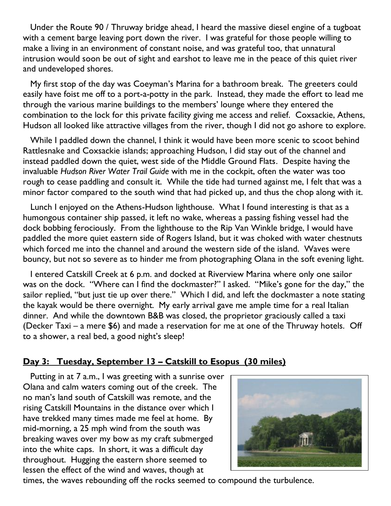Under the Route 90 / Thruway bridge ahead, I heard the massive diesel engine of a tugboat with a cement barge leaving port down the river. I was grateful for those people willing to make a living in an environment of constant noise, and was grateful too, that unnatural intrusion would soon be out of sight and earshot to leave me in the peace of this quiet river and undeveloped shores.

 My first stop of the day was Coeyman's Marina for a bathroom break. The greeters could easily have foist me off to a port-a-potty in the park. Instead, they made the effort to lead me through the various marine buildings to the members' lounge where they entered the combination to the lock for this private facility giving me access and relief. Coxsackie, Athens, Hudson all looked like attractive villages from the river, though I did not go ashore to explore.

 While I paddled down the channel, I think it would have been more scenic to scoot behind Rattlesnake and Coxsackie islands; approaching Hudson, I did stay out of the channel and instead paddled down the quiet, west side of the Middle Ground Flats. Despite having the invaluable *Hudson River Water Trail Guide* with me in the cockpit, often the water was too rough to cease paddling and consult it. While the tide had turned against me, I felt that was a minor factor compared to the south wind that had picked up, and thus the chop along with it.

 Lunch I enjoyed on the Athens-Hudson lighthouse. What I found interesting is that as a humongous container ship passed, it left no wake, whereas a passing fishing vessel had the dock bobbing ferociously. From the lighthouse to the Rip Van Winkle bridge, I would have paddled the more quiet eastern side of Rogers Island, but it was choked with water chestnuts which forced me into the channel and around the western side of the island. Waves were bouncy, but not so severe as to hinder me from photographing Olana in the soft evening light.

 I entered Catskill Creek at 6 p.m. and docked at Riverview Marina where only one sailor was on the dock. "Where can I find the dockmaster?" I asked. "Mike's gone for the day," the sailor replied, "but just tie up over there." Which I did, and left the dockmaster a note stating the kayak would be there overnight. My early arrival gave me ample time for a real Italian dinner. And while the downtown B&B was closed, the proprietor graciously called a taxi (Decker Taxi – a mere \$6) and made a reservation for me at one of the Thruway hotels. Off to a shower, a real bed, a good night's sleep!

#### **Day 3: Tuesday, September 13 – Catskill to Esopus (30 miles)**

 Putting in at 7 a.m., I was greeting with a sunrise over Olana and calm waters coming out of the creek. The no man's land south of Catskill was remote, and the rising Catskill Mountains in the distance over which I have trekked many times made me feel at home. By mid-morning, a 25 mph wind from the south was breaking waves over my bow as my craft submerged into the white caps. In short, it was a difficult day throughout. Hugging the eastern shore seemed to lessen the effect of the wind and waves, though at



times, the waves rebounding off the rocks seemed to compound the turbulence.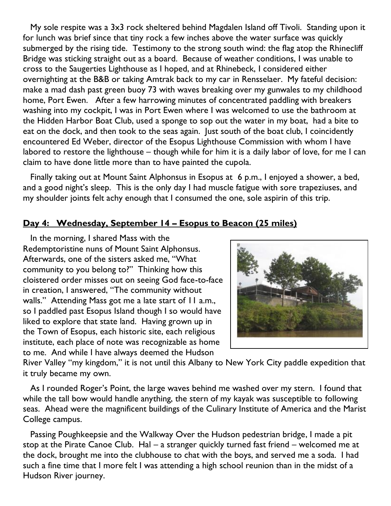My sole respite was a 3x3 rock sheltered behind Magdalen Island off Tivoli. Standing upon it for lunch was brief since that tiny rock a few inches above the water surface was quickly submerged by the rising tide. Testimony to the strong south wind: the flag atop the Rhinecliff Bridge was sticking straight out as a board. Because of weather conditions, I was unable to cross to the Saugerties Lighthouse as I hoped, and at Rhinebeck, I considered either overnighting at the B&B or taking Amtrak back to my car in Rensselaer. My fateful decision: make a mad dash past green buoy 73 with waves breaking over my gunwales to my childhood home, Port Ewen. After a few harrowing minutes of concentrated paddling with breakers washing into my cockpit, I was in Port Ewen where I was welcomed to use the bathroom at the Hidden Harbor Boat Club, used a sponge to sop out the water in my boat, had a bite to eat on the dock, and then took to the seas again. Just south of the boat club, I coincidently encountered Ed Weber, director of the Esopus Lighthouse Commission with whom I have labored to restore the lighthouse – though while for him it is a daily labor of love, for me I can claim to have done little more than to have painted the cupola.

 Finally taking out at Mount Saint Alphonsus in Esopus at 6 p.m., I enjoyed a shower, a bed, and a good night's sleep. This is the only day I had muscle fatigue with sore trapeziuses, and my shoulder joints felt achy enough that I consumed the one, sole aspirin of this trip.

#### **Day 4: Wednesday, September 14 – Esopus to Beacon (25 miles)**

 In the morning, I shared Mass with the Redemptoristine nuns of Mount Saint Alphonsus. Afterwards, one of the sisters asked me, "What community to you belong to?" Thinking how this cloistered order misses out on seeing God face-to-face in creation, I answered, "The community without walls." Attending Mass got me a late start of 11 a.m., so I paddled past Esopus Island though I so would have liked to explore that state land. Having grown up in the Town of Esopus, each historic site, each religious institute, each place of note was recognizable as home to me. And while I have always deemed the Hudson



River Valley "my kingdom," it is not until this Albany to New York City paddle expedition that it truly became my own.

 As I rounded Roger's Point, the large waves behind me washed over my stern. I found that while the tall bow would handle anything, the stern of my kayak was susceptible to following seas. Ahead were the magnificent buildings of the Culinary Institute of America and the Marist College campus.

 Passing Poughkeepsie and the Walkway Over the Hudson pedestrian bridge, I made a pit stop at the Pirate Canoe Club. Hal – a stranger quickly turned fast friend – welcomed me at the dock, brought me into the clubhouse to chat with the boys, and served me a soda. I had such a fine time that I more felt I was attending a high school reunion than in the midst of a Hudson River journey.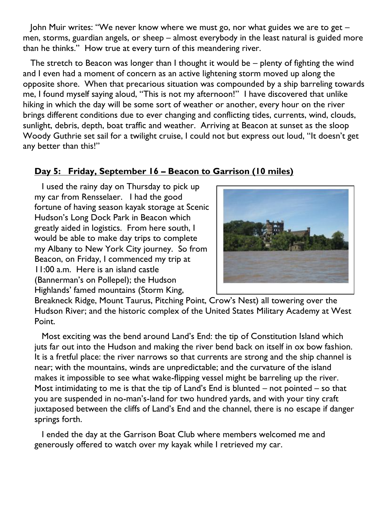John Muir writes: "We never know where we must go, nor what guides we are to get – men, storms, guardian angels, or sheep – almost everybody in the least natural is guided more than he thinks." How true at every turn of this meandering river.

 The stretch to Beacon was longer than I thought it would be – plenty of fighting the wind and I even had a moment of concern as an active lightening storm moved up along the opposite shore. When that precarious situation was compounded by a ship barreling towards me, I found myself saying aloud, "This is not my afternoon!" I have discovered that unlike hiking in which the day will be some sort of weather or another, every hour on the river brings different conditions due to ever changing and conflicting tides, currents, wind, clouds, sunlight, debris, depth, boat traffic and weather. Arriving at Beacon at sunset as the sloop Woody Guthrie set sail for a twilight cruise, I could not but express out loud, "It doesn't get any better than this!"

# **Day 5: Friday, September 16 – Beacon to Garrison (10 miles)**

 I used the rainy day on Thursday to pick up my car from Rensselaer. I had the good fortune of having season kayak storage at Scenic Hudson's Long Dock Park in Beacon which greatly aided in logistics. From here south, I would be able to make day trips to complete my Albany to New York City journey. So from Beacon, on Friday, I commenced my trip at 11:00 a.m. Here is an island castle (Bannerman's on Pollepel); the Hudson Highlands' famed mountains (Storm King,



Breakneck Ridge, Mount Taurus, Pitching Point, Crow's Nest) all towering over the Hudson River; and the historic complex of the United States Military Academy at West Point.

 Most exciting was the bend around Land's End: the tip of Constitution Island which juts far out into the Hudson and making the river bend back on itself in ox bow fashion. It is a fretful place: the river narrows so that currents are strong and the ship channel is near; with the mountains, winds are unpredictable; and the curvature of the island makes it impossible to see what wake-flipping vessel might be barreling up the river. Most intimidating to me is that the tip of Land's End is blunted – not pointed – so that you are suspended in no-man's-land for two hundred yards, and with your tiny craft juxtaposed between the cliffs of Land's End and the channel, there is no escape if danger springs forth.

I ended the day at the Garrison Boat Club where members welcomed me and generously offered to watch over my kayak while I retrieved my car.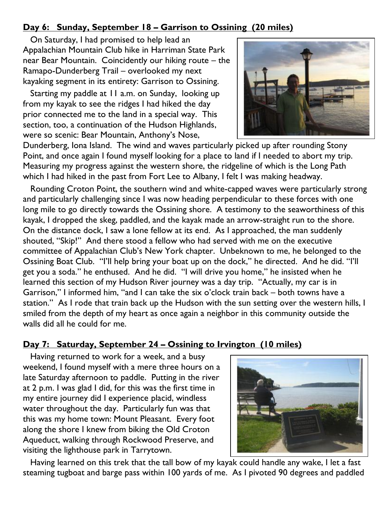# **Day 6: Sunday, September 18 – Garrison to Ossining (20 miles)**

 On Saturday, I had promised to help lead an Appalachian Mountain Club hike in Harriman State Park near Bear Mountain. Coincidently our hiking route – the Ramapo-Dunderberg Trail – overlooked my next kayaking segment in its entirety: Garrison to Ossining.

 Starting my paddle at 11 a.m. on Sunday, looking up from my kayak to see the ridges I had hiked the day prior connected me to the land in a special way. This section, too, a continuation of the Hudson Highlands, were so scenic: Bear Mountain, Anthony's Nose,



Dunderberg, Iona Island. The wind and waves particularly picked up after rounding Stony Point, and once again I found myself looking for a place to land if I needed to abort my trip. Measuring my progress against the western shore, the ridgeline of which is the Long Path which I had hiked in the past from Fort Lee to Albany, I felt I was making headway.

 Rounding Croton Point, the southern wind and white-capped waves were particularly strong and particularly challenging since I was now heading perpendicular to these forces with one long mile to go directly towards the Ossining shore. A testimony to the seaworthiness of this kayak, I dropped the skeg, paddled, and the kayak made an arrow-straight run to the shore. On the distance dock, I saw a lone fellow at its end. As I approached, the man suddenly shouted, "Skip!" And there stood a fellow who had served with me on the executive committee of Appalachian Club's New York chapter. Unbeknown to me, he belonged to the Ossining Boat Club. "I'll help bring your boat up on the dock," he directed. And he did. "I'll get you a soda." he enthused. And he did. "I will drive you home," he insisted when he learned this section of my Hudson River journey was a day trip. "Actually, my car is in Garrison," I informed him, "and I can take the six o'clock train back – both towns have a station." As I rode that train back up the Hudson with the sun setting over the western hills, I smiled from the depth of my heart as once again a neighbor in this community outside the walls did all he could for me.

#### **Day 7: Saturday, September 24 – Ossining to Irvington (10 miles)**

 Having returned to work for a week, and a busy weekend, I found myself with a mere three hours on a late Saturday afternoon to paddle. Putting in the river at 2 p.m. I was glad I did, for this was the first time in my entire journey did I experience placid, windless water throughout the day. Particularly fun was that this was my home town: Mount Pleasant. Every foot along the shore I knew from biking the Old Croton Aqueduct, walking through Rockwood Preserve, and visiting the lighthouse park in Tarrytown.



 Having learned on this trek that the tall bow of my kayak could handle any wake, I let a fast steaming tugboat and barge pass within 100 yards of me. As I pivoted 90 degrees and paddled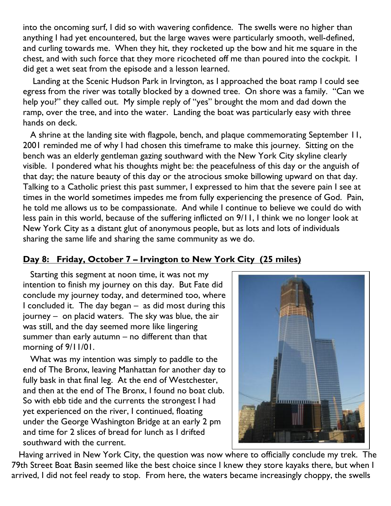into the oncoming surf, I did so with wavering confidence. The swells were no higher than anything I had yet encountered, but the large waves were particularly smooth, well-defined, and curling towards me. When they hit, they rocketed up the bow and hit me square in the chest, and with such force that they more ricocheted off me than poured into the cockpit. I did get a wet seat from the episode and a lesson learned.

 Landing at the Scenic Hudson Park in Irvington, as I approached the boat ramp I could see egress from the river was totally blocked by a downed tree. On shore was a family. "Can we help you?" they called out. My simple reply of "yes" brought the mom and dad down the ramp, over the tree, and into the water. Landing the boat was particularly easy with three hands on deck.

 A shrine at the landing site with flagpole, bench, and plaque commemorating September 11, 2001 reminded me of why I had chosen this timeframe to make this journey. Sitting on the bench was an elderly gentleman gazing southward with the New York City skyline clearly visible. I pondered what his thoughts might be: the peacefulness of this day or the anguish of that day; the nature beauty of this day or the atrocious smoke billowing upward on that day. Talking to a Catholic priest this past summer, I expressed to him that the severe pain I see at times in the world sometimes impedes me from fully experiencing the presence of God. Pain, he told me allows us to be compassionate. And while I continue to believe we could do with less pain in this world, because of the suffering inflicted on 9/11, I think we no longer look at New York City as a distant glut of anonymous people, but as lots and lots of individuals sharing the same life and sharing the same community as we do.

## **Day 8: Friday, October 7 – Irvington to New York City (25 miles)**

 Starting this segment at noon time, it was not my intention to finish my journey on this day. But Fate did conclude my journey today, and determined too, where I concluded it. The day began – as did most during this journey – on placid waters. The sky was blue, the air was still, and the day seemed more like lingering summer than early autumn – no different than that morning of 9/11/01.

 What was my intention was simply to paddle to the end of The Bronx, leaving Manhattan for another day to fully bask in that final leg. At the end of Westchester, and then at the end of The Bronx, I found no boat club. So with ebb tide and the currents the strongest I had yet experienced on the river, I continued, floating under the George Washington Bridge at an early 2 pm and time for 2 slices of bread for lunch as I drifted southward with the current.



 Having arrived in New York City, the question was now where to officially conclude my trek. The 79th Street Boat Basin seemed like the best choice since I knew they store kayaks there, but when I arrived, I did not feel ready to stop. From here, the waters became increasingly choppy, the swells